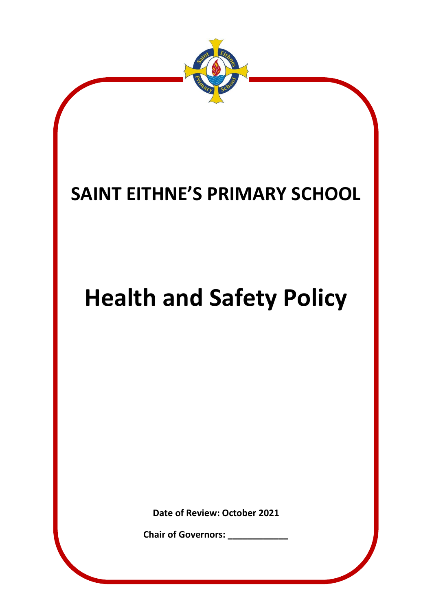

**Chair of Governors: \_\_\_\_\_\_\_\_\_\_\_\_**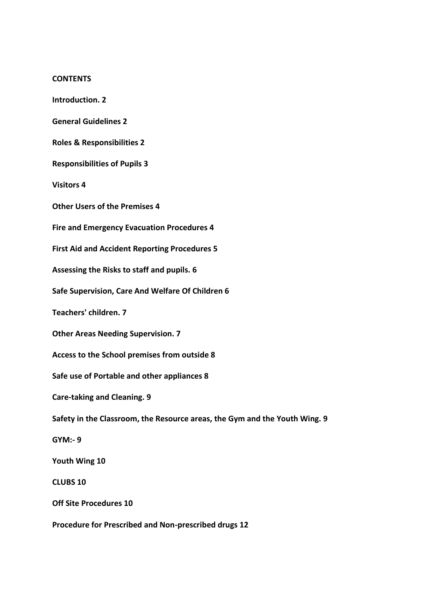#### **CONTENTS**

**Introduction. 2**

**General Guidelines 2**

**Roles & Responsibilities 2**

**Responsibilities of Pupils 3**

**Visitors 4**

**Other Users of the Premises 4**

**Fire and Emergency Evacuation Procedures 4**

**First Aid and Accident Reporting Procedures 5**

**Assessing the Risks to staff and pupils. 6**

**Safe Supervision, Care And Welfare Of Children 6**

**Teachers' children. 7**

**Other Areas Needing Supervision. 7**

**Access to the School premises from outside 8**

**Safe use of Portable and other appliances 8**

**Care-taking and Cleaning. 9**

**Safety in the Classroom, the Resource areas, the Gym and the Youth Wing. 9**

**GYM:- 9**

**Youth Wing 10**

**CLUBS 10**

**Off Site Procedures 10**

**Procedure for Prescribed and Non-prescribed drugs 12**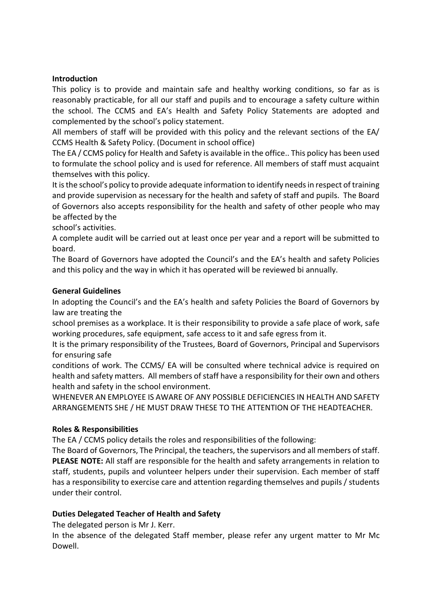#### **Introduction**

This policy is to provide and maintain safe and healthy working conditions, so far as is reasonably practicable, for all our staff and pupils and to encourage a safety culture within the school. The CCMS and EA's Health and Safety Policy Statements are adopted and complemented by the school's policy statement.

All members of staff will be provided with this policy and the relevant sections of the EA/ CCMS Health & Safety Policy. (Document in school office)

The EA / CCMS policy for Health and Safety is available in the office.. This policy has been used to formulate the school policy and is used for reference. All members of staff must acquaint themselves with this policy.

It is the school's policy to provide adequate information to identify needs in respect of training and provide supervision as necessary for the health and safety of staff and pupils. The Board of Governors also accepts responsibility for the health and safety of other people who may be affected by the

school's activities.

A complete audit will be carried out at least once per year and a report will be submitted to board.

The Board of Governors have adopted the Council's and the EA's health and safety Policies and this policy and the way in which it has operated will be reviewed bi annually.

### **General Guidelines**

In adopting the Council's and the EA's health and safety Policies the Board of Governors by law are treating the

school premises as a workplace. It is their responsibility to provide a safe place of work, safe working procedures, safe equipment, safe access to it and safe egress from it.

It is the primary responsibility of the Trustees, Board of Governors, Principal and Supervisors for ensuring safe

conditions of work. The CCMS/ EA will be consulted where technical advice is required on health and safety matters. All members of staff have a responsibility for their own and others health and safety in the school environment.

WHENEVER AN EMPLOYEE IS AWARE OF ANY POSSIBLE DEFICIENCIES IN HEALTH AND SAFETY ARRANGEMENTS SHE / HE MUST DRAW THESE TO THE ATTENTION OF THE HEADTEACHER.

## **Roles & Responsibilities**

The EA / CCMS policy details the roles and responsibilities of the following:

The Board of Governors, The Principal, the teachers, the supervisors and all members of staff. **PLEASE NOTE:** All staff are responsible for the health and safety arrangements in relation to staff, students, pupils and volunteer helpers under their supervision. Each member of staff has a responsibility to exercise care and attention regarding themselves and pupils / students under their control.

## **Duties Delegated Teacher of Health and Safety**

The delegated person is Mr J. Kerr.

In the absence of the delegated Staff member, please refer any urgent matter to Mr Mc Dowell.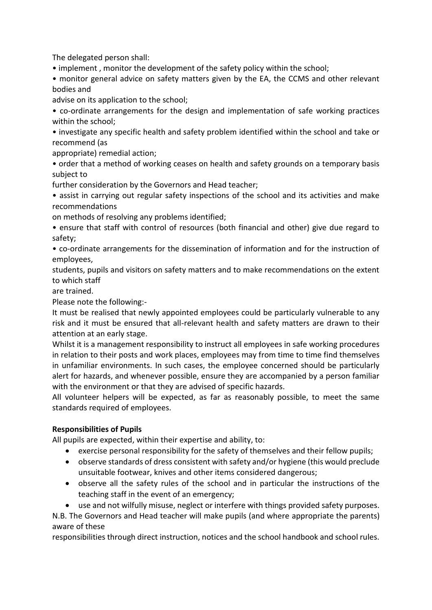The delegated person shall:

• implement , monitor the development of the safety policy within the school;

• monitor general advice on safety matters given by the EA, the CCMS and other relevant bodies and

advise on its application to the school;

• co-ordinate arrangements for the design and implementation of safe working practices within the school;

• investigate any specific health and safety problem identified within the school and take or recommend (as

appropriate) remedial action;

• order that a method of working ceases on health and safety grounds on a temporary basis subject to

further consideration by the Governors and Head teacher;

• assist in carrying out regular safety inspections of the school and its activities and make recommendations

on methods of resolving any problems identified;

• ensure that staff with control of resources (both financial and other) give due regard to safety;

• co-ordinate arrangements for the dissemination of information and for the instruction of employees,

students, pupils and visitors on safety matters and to make recommendations on the extent to which staff

are trained.

Please note the following:-

It must be realised that newly appointed employees could be particularly vulnerable to any risk and it must be ensured that all-relevant health and safety matters are drawn to their attention at an early stage.

Whilst it is a management responsibility to instruct all employees in safe working procedures in relation to their posts and work places, employees may from time to time find themselves in unfamiliar environments. In such cases, the employee concerned should be particularly alert for hazards, and whenever possible, ensure they are accompanied by a person familiar with the environment or that they are advised of specific hazards.

All volunteer helpers will be expected, as far as reasonably possible, to meet the same standards required of employees.

## **Responsibilities of Pupils**

All pupils are expected, within their expertise and ability, to:

- exercise personal responsibility for the safety of themselves and their fellow pupils;
- observe standards of dress consistent with safety and/or hygiene (this would preclude unsuitable footwear, knives and other items considered dangerous;
- observe all the safety rules of the school and in particular the instructions of the teaching staff in the event of an emergency;
- use and not wilfully misuse, neglect or interfere with things provided safety purposes.

N.B. The Governors and Head teacher will make pupils (and where appropriate the parents) aware of these

responsibilities through direct instruction, notices and the school handbook and school rules.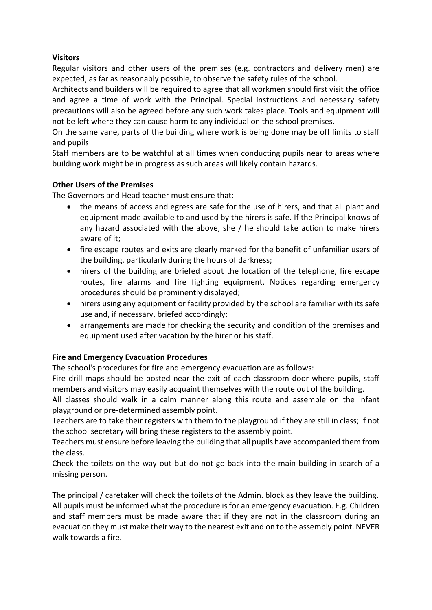## **Visitors**

Regular visitors and other users of the premises (e.g. contractors and delivery men) are expected, as far as reasonably possible, to observe the safety rules of the school.

Architects and builders will be required to agree that all workmen should first visit the office and agree a time of work with the Principal. Special instructions and necessary safety precautions will also be agreed before any such work takes place. Tools and equipment will not be left where they can cause harm to any individual on the school premises.

On the same vane, parts of the building where work is being done may be off limits to staff and pupils

Staff members are to be watchful at all times when conducting pupils near to areas where building work might be in progress as such areas will likely contain hazards.

### **Other Users of the Premises**

The Governors and Head teacher must ensure that:

- the means of access and egress are safe for the use of hirers, and that all plant and equipment made available to and used by the hirers is safe. If the Principal knows of any hazard associated with the above, she / he should take action to make hirers aware of it;
- fire escape routes and exits are clearly marked for the benefit of unfamiliar users of the building, particularly during the hours of darkness;
- hirers of the building are briefed about the location of the telephone, fire escape routes, fire alarms and fire fighting equipment. Notices regarding emergency procedures should be prominently displayed;
- hirers using any equipment or facility provided by the school are familiar with its safe use and, if necessary, briefed accordingly;
- arrangements are made for checking the security and condition of the premises and equipment used after vacation by the hirer or his staff.

## **Fire and Emergency Evacuation Procedures**

The school's procedures for fire and emergency evacuation are as follows:

Fire drill maps should be posted near the exit of each classroom door where pupils, staff members and visitors may easily acquaint themselves with the route out of the building.

All classes should walk in a calm manner along this route and assemble on the infant playground or pre-determined assembly point.

Teachers are to take their registers with them to the playground if they are still in class; If not the school secretary will bring these registers to the assembly point.

Teachers must ensure before leaving the building that all pupils have accompanied them from the class.

Check the toilets on the way out but do not go back into the main building in search of a missing person.

The principal / caretaker will check the toilets of the Admin. block as they leave the building. All pupils must be informed what the procedure is for an emergency evacuation. E.g. Children and staff members must be made aware that if they are not in the classroom during an evacuation they must make their way to the nearest exit and on to the assembly point. NEVER walk towards a fire.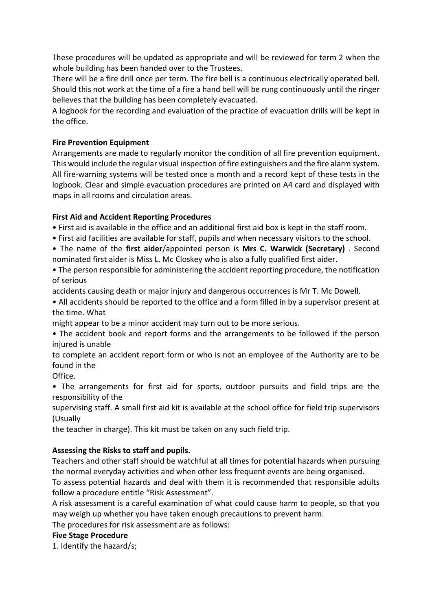These procedures will be updated as appropriate and will be reviewed for term 2 when the whole building has been handed over to the Trustees.

There will be a fire drill once per term. The fire bell is a continuous electrically operated bell. Should this not work at the time of a fire a hand bell will be rung continuously until the ringer believes that the building has been completely evacuated.

A logbook for the recording and evaluation of the practice of evacuation drills will be kept in the office.

## **Fire Prevention Equipment**

Arrangements are made to regularly monitor the condition of all fire prevention equipment. This would include the regular visual inspection of fire extinguishers and the fire alarm system. All fire-warning systems will be tested once a month and a record kept of these tests in the logbook. Clear and simple evacuation procedures are printed on A4 card and displayed with maps in all rooms and circulation areas.

## **First Aid and Accident Reporting Procedures**

• First aid is available in the office and an additional first aid box is kept in the staff room.

- First aid facilities are available for staff, pupils and when necessary visitors to the school.
- The name of the **first aider**/appointed person is **Mrs C. Warwick (Secretary)** . Second nominated first aider is Miss L. Mc Closkey who is also a fully qualified first aider.

• The person responsible for administering the accident reporting procedure, the notification of serious

accidents causing death or major injury and dangerous occurrences is Mr T. Mc Dowell.

• All accidents should be reported to the office and a form filled in by a supervisor present at the time. What

might appear to be a minor accident may turn out to be more serious.

• The accident book and report forms and the arrangements to be followed if the person injured is unable

to complete an accident report form or who is not an employee of the Authority are to be found in the

Office.

• The arrangements for first aid for sports, outdoor pursuits and field trips are the responsibility of the

supervising staff. A small first aid kit is available at the school office for field trip supervisors (Usually

the teacher in charge). This kit must be taken on any such field trip.

## **Assessing the Risks to staff and pupils.**

Teachers and other staff should be watchful at all times for potential hazards when pursuing the normal everyday activities and when other less frequent events are being organised.

To assess potential hazards and deal with them it is recommended that responsible adults follow a procedure entitle "Risk Assessment".

A risk assessment is a careful examination of what could cause harm to people, so that you may weigh up whether you have taken enough precautions to prevent harm.

The procedures for risk assessment are as follows:

#### **Five Stage Procedure**

1. Identify the hazard/s;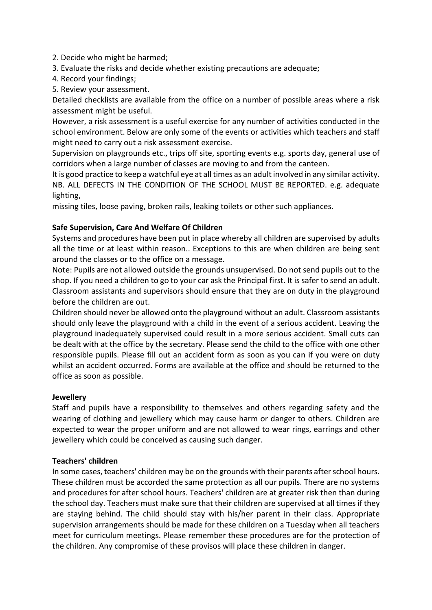2. Decide who might be harmed;

- 3. Evaluate the risks and decide whether existing precautions are adequate;
- 4. Record your findings;
- 5. Review your assessment.

Detailed checklists are available from the office on a number of possible areas where a risk assessment might be useful.

However, a risk assessment is a useful exercise for any number of activities conducted in the school environment. Below are only some of the events or activities which teachers and staff might need to carry out a risk assessment exercise.

Supervision on playgrounds etc., trips off site, sporting events e.g. sports day, general use of corridors when a large number of classes are moving to and from the canteen.

It is good practice to keep a watchful eye at all times as an adult involved in any similar activity. NB. ALL DEFECTS IN THE CONDITION OF THE SCHOOL MUST BE REPORTED. e.g. adequate lighting,

missing tiles, loose paving, broken rails, leaking toilets or other such appliances.

# **Safe Supervision, Care And Welfare Of Children**

Systems and procedures have been put in place whereby all children are supervised by adults all the time or at least within reason.. Exceptions to this are when children are being sent around the classes or to the office on a message.

Note: Pupils are not allowed outside the grounds unsupervised. Do not send pupils out to the shop. If you need a children to go to your car ask the Principal first. It is safer to send an adult. Classroom assistants and supervisors should ensure that they are on duty in the playground before the children are out.

Children should never be allowed onto the playground without an adult. Classroom assistants should only leave the playground with a child in the event of a serious accident. Leaving the playground inadequately supervised could result in a more serious accident. Small cuts can be dealt with at the office by the secretary. Please send the child to the office with one other responsible pupils. Please fill out an accident form as soon as you can if you were on duty whilst an accident occurred. Forms are available at the office and should be returned to the office as soon as possible.

## **Jewellery**

Staff and pupils have a responsibility to themselves and others regarding safety and the wearing of clothing and jewellery which may cause harm or danger to others. Children are expected to wear the proper uniform and are not allowed to wear rings, earrings and other jewellery which could be conceived as causing such danger.

## **Teachers' children**

In some cases, teachers' children may be on the grounds with their parents after school hours. These children must be accorded the same protection as all our pupils. There are no systems and procedures for after school hours. Teachers' children are at greater risk then than during the school day. Teachers must make sure that their children are supervised at all times if they are staying behind. The child should stay with his/her parent in their class. Appropriate supervision arrangements should be made for these children on a Tuesday when all teachers meet for curriculum meetings. Please remember these procedures are for the protection of the children. Any compromise of these provisos will place these children in danger.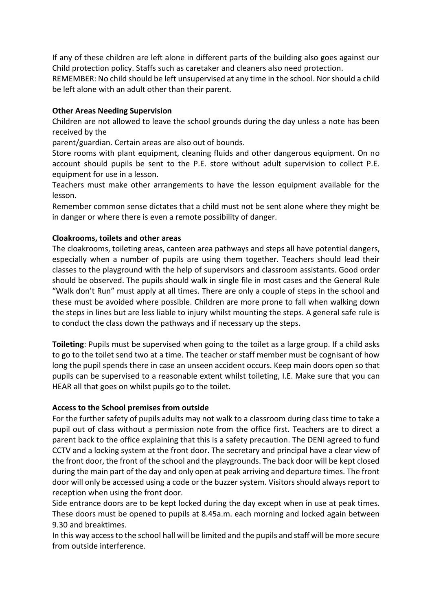If any of these children are left alone in different parts of the building also goes against our Child protection policy. Staffs such as caretaker and cleaners also need protection.

REMEMBER: No child should be left unsupervised at any time in the school. Nor should a child be left alone with an adult other than their parent.

### **Other Areas Needing Supervision**

Children are not allowed to leave the school grounds during the day unless a note has been received by the

parent/guardian. Certain areas are also out of bounds.

Store rooms with plant equipment, cleaning fluids and other dangerous equipment. On no account should pupils be sent to the P.E. store without adult supervision to collect P.E. equipment for use in a lesson.

Teachers must make other arrangements to have the lesson equipment available for the lesson.

Remember common sense dictates that a child must not be sent alone where they might be in danger or where there is even a remote possibility of danger.

### **Cloakrooms, toilets and other areas**

The cloakrooms, toileting areas, canteen area pathways and steps all have potential dangers, especially when a number of pupils are using them together. Teachers should lead their classes to the playground with the help of supervisors and classroom assistants. Good order should be observed. The pupils should walk in single file in most cases and the General Rule "Walk don't Run" must apply at all times. There are only a couple of steps in the school and these must be avoided where possible. Children are more prone to fall when walking down the steps in lines but are less liable to injury whilst mounting the steps. A general safe rule is to conduct the class down the pathways and if necessary up the steps.

**Toileting**: Pupils must be supervised when going to the toilet as a large group. If a child asks to go to the toilet send two at a time. The teacher or staff member must be cognisant of how long the pupil spends there in case an unseen accident occurs. Keep main doors open so that pupils can be supervised to a reasonable extent whilst toileting, I.E. Make sure that you can HEAR all that goes on whilst pupils go to the toilet.

#### **Access to the School premises from outside**

For the further safety of pupils adults may not walk to a classroom during class time to take a pupil out of class without a permission note from the office first. Teachers are to direct a parent back to the office explaining that this is a safety precaution. The DENI agreed to fund CCTV and a locking system at the front door. The secretary and principal have a clear view of the front door, the front of the school and the playgrounds. The back door will be kept closed during the main part of the day and only open at peak arriving and departure times. The front door will only be accessed using a code or the buzzer system. Visitors should always report to reception when using the front door.

Side entrance doors are to be kept locked during the day except when in use at peak times. These doors must be opened to pupils at 8.45a.m. each morning and locked again between 9.30 and breaktimes.

In this way access to the school hall will be limited and the pupils and staff will be more secure from outside interference.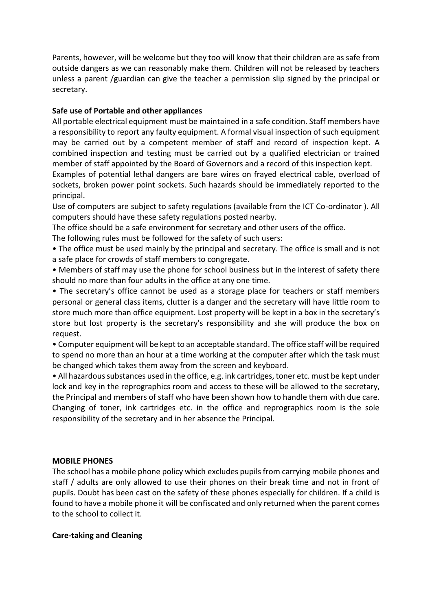Parents, however, will be welcome but they too will know that their children are as safe from outside dangers as we can reasonably make them. Children will not be released by teachers unless a parent /guardian can give the teacher a permission slip signed by the principal or secretary.

## **Safe use of Portable and other appliances**

All portable electrical equipment must be maintained in a safe condition. Staff members have a responsibility to report any faulty equipment. A formal visual inspection of such equipment may be carried out by a competent member of staff and record of inspection kept. A combined inspection and testing must be carried out by a qualified electrician or trained member of staff appointed by the Board of Governors and a record of this inspection kept.

Examples of potential lethal dangers are bare wires on frayed electrical cable, overload of sockets, broken power point sockets. Such hazards should be immediately reported to the principal.

Use of computers are subject to safety regulations (available from the ICT Co-ordinator ). All computers should have these safety regulations posted nearby.

The office should be a safe environment for secretary and other users of the office.

The following rules must be followed for the safety of such users:

- The office must be used mainly by the principal and secretary. The office is small and is not a safe place for crowds of staff members to congregate.
- Members of staff may use the phone for school business but in the interest of safety there should no more than four adults in the office at any one time.

• The secretary's office cannot be used as a storage place for teachers or staff members personal or general class items, clutter is a danger and the secretary will have little room to store much more than office equipment. Lost property will be kept in a box in the secretary's store but lost property is the secretary's responsibility and she will produce the box on request.

• Computer equipment will be kept to an acceptable standard. The office staff will be required to spend no more than an hour at a time working at the computer after which the task must be changed which takes them away from the screen and keyboard.

• All hazardous substances used in the office, e.g. ink cartridges, toner etc. must be kept under lock and key in the reprographics room and access to these will be allowed to the secretary, the Principal and members of staff who have been shown how to handle them with due care. Changing of toner, ink cartridges etc. in the office and reprographics room is the sole responsibility of the secretary and in her absence the Principal.

#### **MOBILE PHONES**

The school has a mobile phone policy which excludes pupils from carrying mobile phones and staff / adults are only allowed to use their phones on their break time and not in front of pupils. Doubt has been cast on the safety of these phones especially for children. If a child is found to have a mobile phone it will be confiscated and only returned when the parent comes to the school to collect it.

#### **Care-taking and Cleaning**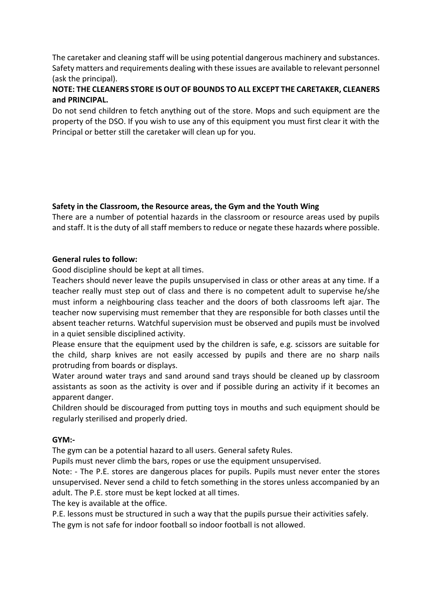The caretaker and cleaning staff will be using potential dangerous machinery and substances. Safety matters and requirements dealing with these issues are available to relevant personnel (ask the principal).

# **NOTE: THE CLEANERS STORE IS OUT OF BOUNDS TO ALL EXCEPT THE CARETAKER, CLEANERS and PRINCIPAL.**

Do not send children to fetch anything out of the store. Mops and such equipment are the property of the DSO. If you wish to use any of this equipment you must first clear it with the Principal or better still the caretaker will clean up for you.

## **Safety in the Classroom, the Resource areas, the Gym and the Youth Wing**

There are a number of potential hazards in the classroom or resource areas used by pupils and staff. It is the duty of all staff members to reduce or negate these hazards where possible.

### **General rules to follow:**

Good discipline should be kept at all times.

Teachers should never leave the pupils unsupervised in class or other areas at any time. If a teacher really must step out of class and there is no competent adult to supervise he/she must inform a neighbouring class teacher and the doors of both classrooms left ajar. The teacher now supervising must remember that they are responsible for both classes until the absent teacher returns. Watchful supervision must be observed and pupils must be involved in a quiet sensible disciplined activity.

Please ensure that the equipment used by the children is safe, e.g. scissors are suitable for the child, sharp knives are not easily accessed by pupils and there are no sharp nails protruding from boards or displays.

Water around water trays and sand around sand trays should be cleaned up by classroom assistants as soon as the activity is over and if possible during an activity if it becomes an apparent danger.

Children should be discouraged from putting toys in mouths and such equipment should be regularly sterilised and properly dried.

#### **GYM:-**

The gym can be a potential hazard to all users. General safety Rules.

Pupils must never climb the bars, ropes or use the equipment unsupervised.

Note: - The P.E. stores are dangerous places for pupils. Pupils must never enter the stores unsupervised. Never send a child to fetch something in the stores unless accompanied by an adult. The P.E. store must be kept locked at all times.

The key is available at the office.

P.E. lessons must be structured in such a way that the pupils pursue their activities safely. The gym is not safe for indoor football so indoor football is not allowed.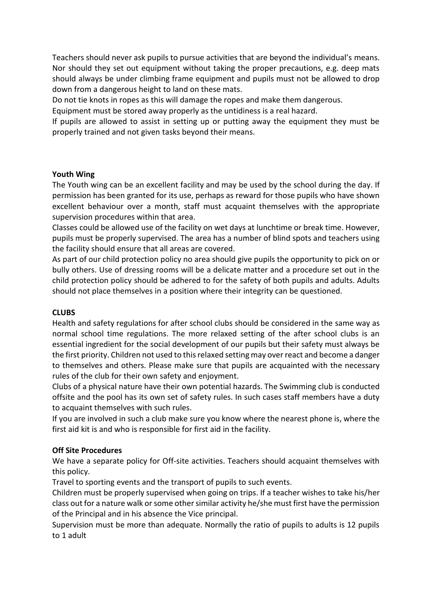Teachers should never ask pupils to pursue activities that are beyond the individual's means. Nor should they set out equipment without taking the proper precautions, e.g. deep mats should always be under climbing frame equipment and pupils must not be allowed to drop down from a dangerous height to land on these mats.

Do not tie knots in ropes as this will damage the ropes and make them dangerous.

Equipment must be stored away properly as the untidiness is a real hazard.

If pupils are allowed to assist in setting up or putting away the equipment they must be properly trained and not given tasks beyond their means.

### **Youth Wing**

The Youth wing can be an excellent facility and may be used by the school during the day. If permission has been granted for its use, perhaps as reward for those pupils who have shown excellent behaviour over a month, staff must acquaint themselves with the appropriate supervision procedures within that area.

Classes could be allowed use of the facility on wet days at lunchtime or break time. However, pupils must be properly supervised. The area has a number of blind spots and teachers using the facility should ensure that all areas are covered.

As part of our child protection policy no area should give pupils the opportunity to pick on or bully others. Use of dressing rooms will be a delicate matter and a procedure set out in the child protection policy should be adhered to for the safety of both pupils and adults. Adults should not place themselves in a position where their integrity can be questioned.

## **CLUBS**

Health and safety regulations for after school clubs should be considered in the same way as normal school time regulations. The more relaxed setting of the after school clubs is an essential ingredient for the social development of our pupils but their safety must always be the first priority. Children not used to this relaxed setting may over react and become a danger to themselves and others. Please make sure that pupils are acquainted with the necessary rules of the club for their own safety and enjoyment.

Clubs of a physical nature have their own potential hazards. The Swimming club is conducted offsite and the pool has its own set of safety rules. In such cases staff members have a duty to acquaint themselves with such rules.

If you are involved in such a club make sure you know where the nearest phone is, where the first aid kit is and who is responsible for first aid in the facility.

## **Off Site Procedures**

We have a separate policy for Off-site activities. Teachers should acquaint themselves with this policy.

Travel to sporting events and the transport of pupils to such events.

Children must be properly supervised when going on trips. If a teacher wishes to take his/her class out for a nature walk or some other similar activity he/she must first have the permission of the Principal and in his absence the Vice principal.

Supervision must be more than adequate. Normally the ratio of pupils to adults is 12 pupils to 1 adult